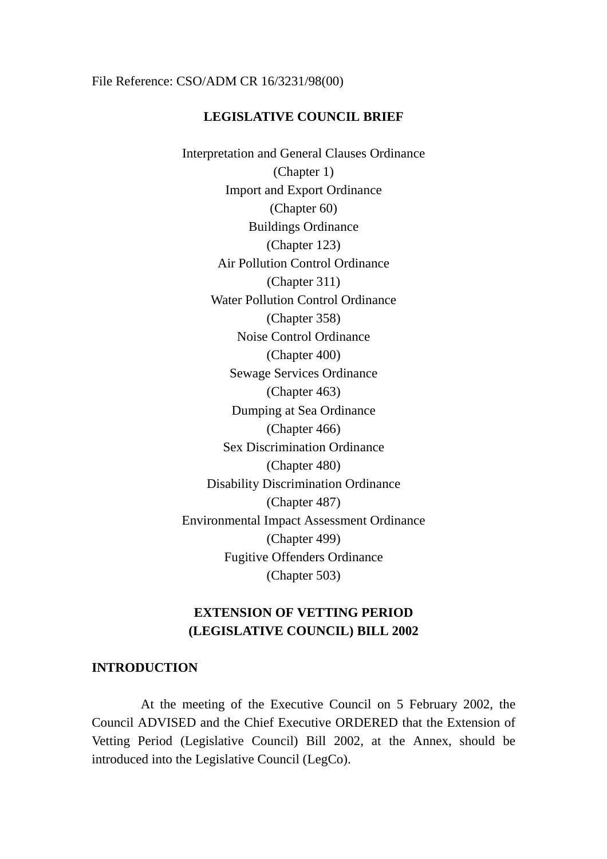#### File Reference: CSO/ADM CR 16/3231/98(00)

#### **LEGISLATIVE COUNCIL BRIEF**

Interpretation and General Clauses Ordinance (Chapter 1) Import and Export Ordinance (Chapter 60) Buildings Ordinance (Chapter 123) Air Pollution Control Ordinance (Chapter 311) Water Pollution Control Ordinance (Chapter 358) Noise Control Ordinance (Chapter 400) Sewage Services Ordinance (Chapter 463) Dumping at Sea Ordinance (Chapter 466) Sex Discrimination Ordinance (Chapter 480) Disability Discrimination Ordinance (Chapter 487) Environmental Impact Assessment Ordinance (Chapter 499) Fugitive Offenders Ordinance (Chapter 503)

# **EXTENSION OF VETTING PERIOD (LEGISLATIVE COUNCIL) BILL 2002**

#### **INTRODUCTION**

At the meeting of the Executive Council on 5 February 2002, the Council ADVISED and the Chief Executive ORDERED that the Extension of Vetting Period (Legislative Council) Bill 2002, at the Annex, should be introduced into the Legislative Council (LegCo).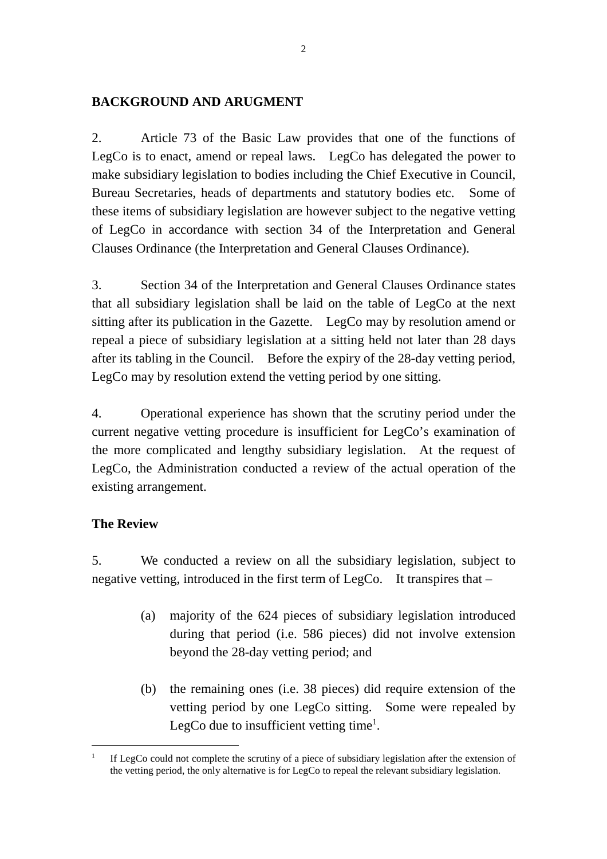### **BACKGROUND AND ARUGMENT**

2. Article 73 of the Basic Law provides that one of the functions of LegCo is to enact, amend or repeal laws. LegCo has delegated the power to make subsidiary legislation to bodies including the Chief Executive in Council, Bureau Secretaries, heads of departments and statutory bodies etc. Some of these items of subsidiary legislation are however subject to the negative vetting of LegCo in accordance with section 34 of the Interpretation and General Clauses Ordinance (the Interpretation and General Clauses Ordinance).

3. Section 34 of the Interpretation and General Clauses Ordinance states that all subsidiary legislation shall be laid on the table of LegCo at the next sitting after its publication in the Gazette. LegCo may by resolution amend or repeal a piece of subsidiary legislation at a sitting held not later than 28 days after its tabling in the Council. Before the expiry of the 28-day vetting period, LegCo may by resolution extend the vetting period by one sitting.

4. Operational experience has shown that the scrutiny period under the current negative vetting procedure is insufficient for LegCo's examination of the more complicated and lengthy subsidiary legislation. At the request of LegCo, the Administration conducted a review of the actual operation of the existing arrangement.

## **The Review**

 $\overline{a}$ 

5. We conducted a review on all the subsidiary legislation, subject to negative vetting, introduced in the first term of LegCo. It transpires that –

- (a) majority of the 624 pieces of subsidiary legislation introduced during that period (i.e. 586 pieces) did not involve extension beyond the 28-day vetting period; and
- (b) the remaining ones (i.e. 38 pieces) did require extension of the vetting period by one LegCo sitting. Some were repealed by LegCo due to insufficient vetting time<sup>1</sup>.

<sup>1</sup> If LegCo could not complete the scrutiny of a piece of subsidiary legislation after the extension of the vetting period, the only alternative is for LegCo to repeal the relevant subsidiary legislation.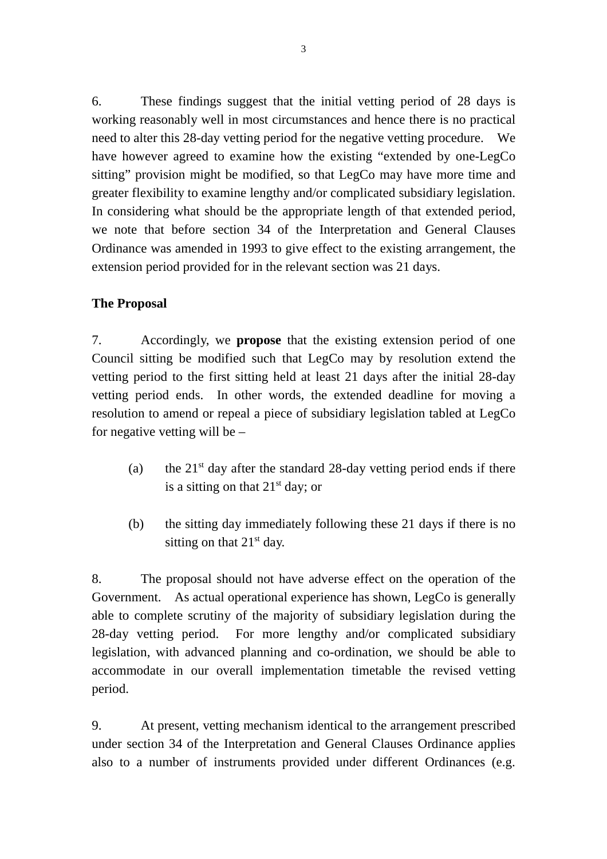6. These findings suggest that the initial vetting period of 28 days is working reasonably well in most circumstances and hence there is no practical need to alter this 28-day vetting period for the negative vetting procedure. We have however agreed to examine how the existing "extended by one-LegCo sitting" provision might be modified, so that LegCo may have more time and greater flexibility to examine lengthy and/or complicated subsidiary legislation. In considering what should be the appropriate length of that extended period, we note that before section 34 of the Interpretation and General Clauses Ordinance was amended in 1993 to give effect to the existing arrangement, the extension period provided for in the relevant section was 21 days.

# **The Proposal**

7. Accordingly, we **propose** that the existing extension period of one Council sitting be modified such that LegCo may by resolution extend the vetting period to the first sitting held at least 21 days after the initial 28-day vetting period ends. In other words, the extended deadline for moving a resolution to amend or repeal a piece of subsidiary legislation tabled at LegCo for negative vetting will be –

- (a) the  $21<sup>st</sup>$  day after the standard 28-day vetting period ends if there is a sitting on that  $21<sup>st</sup>$  day; or
- (b) the sitting day immediately following these 21 days if there is no sitting on that  $21<sup>st</sup>$  day.

8. The proposal should not have adverse effect on the operation of the Government. As actual operational experience has shown, LegCo is generally able to complete scrutiny of the majority of subsidiary legislation during the 28-day vetting period. For more lengthy and/or complicated subsidiary legislation, with advanced planning and co-ordination, we should be able to accommodate in our overall implementation timetable the revised vetting period.

9. At present, vetting mechanism identical to the arrangement prescribed under section 34 of the Interpretation and General Clauses Ordinance applies also to a number of instruments provided under different Ordinances (e.g.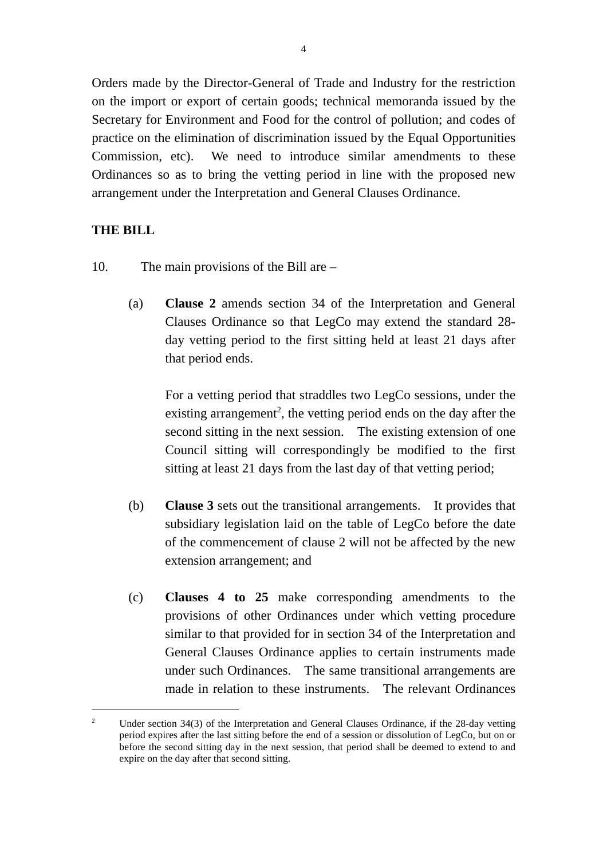Orders made by the Director-General of Trade and Industry for the restriction on the import or export of certain goods; technical memoranda issued by the Secretary for Environment and Food for the control of pollution; and codes of practice on the elimination of discrimination issued by the Equal Opportunities Commission, etc). We need to introduce similar amendments to these Ordinances so as to bring the vetting period in line with the proposed new arrangement under the Interpretation and General Clauses Ordinance.

### **THE BILL**

 $\overline{a}$ 

- 10. The main provisions of the Bill are
	- (a) **Clause 2** amends section 34 of the Interpretation and General Clauses Ordinance so that LegCo may extend the standard 28 day vetting period to the first sitting held at least 21 days after that period ends.

For a vetting period that straddles two LegCo sessions, under the existing arrangement<sup>2</sup>, the vetting period ends on the day after the second sitting in the next session. The existing extension of one Council sitting will correspondingly be modified to the first sitting at least 21 days from the last day of that vetting period;

- (b) **Clause 3** sets out the transitional arrangements. It provides that subsidiary legislation laid on the table of LegCo before the date of the commencement of clause 2 will not be affected by the new extension arrangement; and
- (c) **Clauses 4 to 25** make corresponding amendments to the provisions of other Ordinances under which vetting procedure similar to that provided for in section 34 of the Interpretation and General Clauses Ordinance applies to certain instruments made under such Ordinances. The same transitional arrangements are made in relation to these instruments. The relevant Ordinances

<sup>2</sup> Under section 34(3) of the Interpretation and General Clauses Ordinance, if the 28-day vetting period expires after the last sitting before the end of a session or dissolution of LegCo, but on or before the second sitting day in the next session, that period shall be deemed to extend to and expire on the day after that second sitting.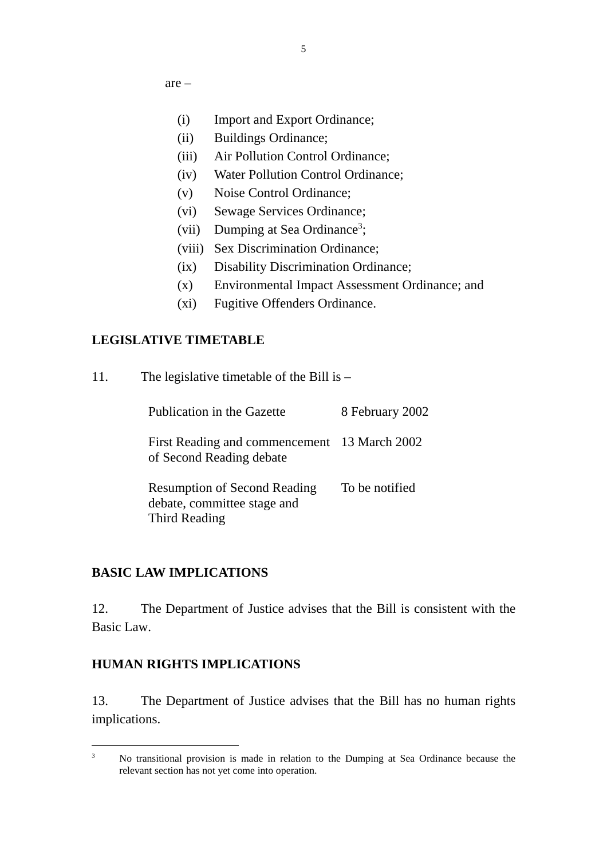are –

- (i) Import and Export Ordinance;
- (ii) Buildings Ordinance;
- (iii) Air Pollution Control Ordinance;
- (iv) Water Pollution Control Ordinance;
- (v) Noise Control Ordinance;
- (vi) Sewage Services Ordinance;
- (vii) Dumping at Sea Ordinance<sup>3</sup>;
- (viii) Sex Discrimination Ordinance;
- (ix) Disability Discrimination Ordinance;
- (x) Environmental Impact Assessment Ordinance; and
- (xi) Fugitive Offenders Ordinance.

### **LEGISLATIVE TIMETABLE**

| 11. | The legislative timetable of the Bill is $-$                                        |                 |  |
|-----|-------------------------------------------------------------------------------------|-----------------|--|
|     | Publication in the Gazette                                                          | 8 February 2002 |  |
|     | First Reading and commencement<br>of Second Reading debate                          | 13 March 2002   |  |
|     | <b>Resumption of Second Reading</b><br>debate, committee stage and<br>Third Reading | To be notified  |  |

### **BASIC LAW IMPLICATIONS**

12. The Department of Justice advises that the Bill is consistent with the Basic Law.

### **HUMAN RIGHTS IMPLICATIONS**

 $\overline{a}$ 

13. The Department of Justice advises that the Bill has no human rights implications.

<sup>3</sup> No transitional provision is made in relation to the Dumping at Sea Ordinance because the relevant section has not yet come into operation.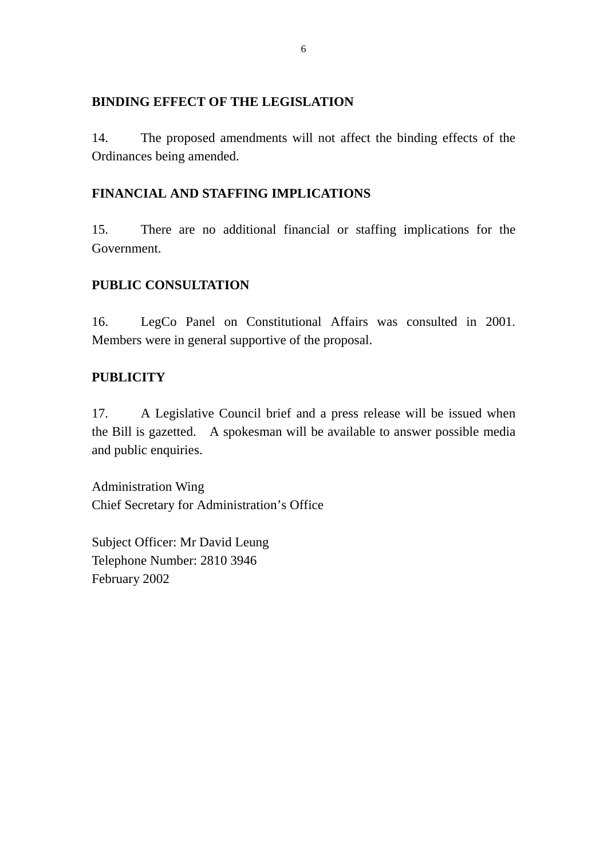### **BINDING EFFECT OF THE LEGISLATION**

14. The proposed amendments will not affect the binding effects of the Ordinances being amended.

# **FINANCIAL AND STAFFING IMPLICATIONS**

15. There are no additional financial or staffing implications for the Government.

# **PUBLIC CONSULTATION**

16. LegCo Panel on Constitutional Affairs was consulted in 2001. Members were in general supportive of the proposal.

# **PUBLICITY**

17. A Legislative Council brief and a press release will be issued when the Bill is gazetted. A spokesman will be available to answer possible media and public enquiries.

Administration Wing Chief Secretary for Administration's Office

Subject Officer: Mr David Leung Telephone Number: 2810 3946 February 2002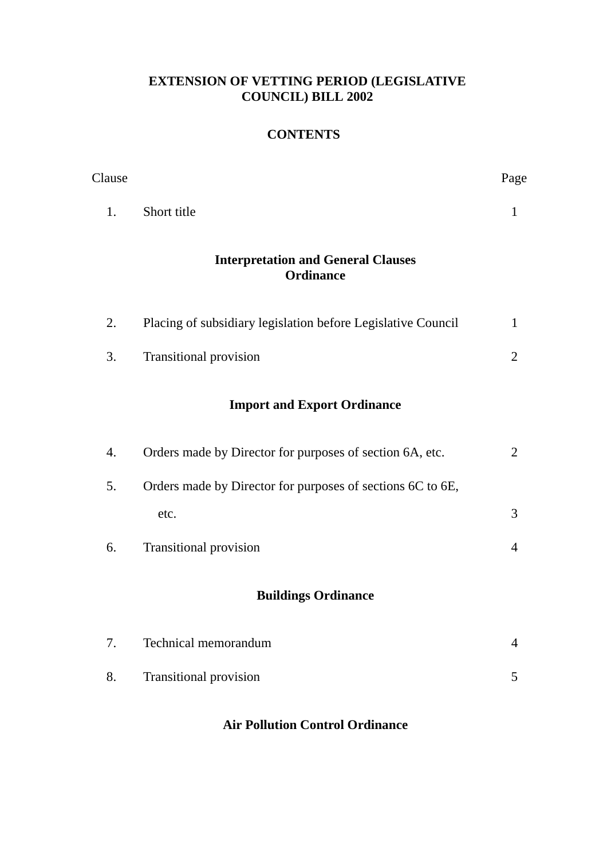# **EXTENSION OF VETTING PERIOD (LEGISLATIVE COUNCIL) BILL 2002**

# **CONTENTS**

| Clause                                                        |                                                              | Page           |  |  |
|---------------------------------------------------------------|--------------------------------------------------------------|----------------|--|--|
| 1.                                                            | Short title                                                  | $\mathbf{1}$   |  |  |
| <b>Interpretation and General Clauses</b><br><b>Ordinance</b> |                                                              |                |  |  |
| 2.                                                            | Placing of subsidiary legislation before Legislative Council | $\mathbf{1}$   |  |  |
| 3.                                                            | Transitional provision                                       | $\overline{2}$ |  |  |
| <b>Import and Export Ordinance</b>                            |                                                              |                |  |  |
| 4.                                                            | Orders made by Director for purposes of section 6A, etc.     | $\overline{2}$ |  |  |
| 5.                                                            | Orders made by Director for purposes of sections 6C to 6E,   |                |  |  |
|                                                               | etc.                                                         | 3              |  |  |
| 6.                                                            | Transitional provision                                       | $\overline{4}$ |  |  |
| <b>Buildings Ordinance</b>                                    |                                                              |                |  |  |
| 7.                                                            | Technical memorandum                                         | 4              |  |  |
| 8.                                                            | <b>Transitional provision</b>                                | 5              |  |  |
|                                                               |                                                              |                |  |  |

# **Air Pollution Control Ordinance**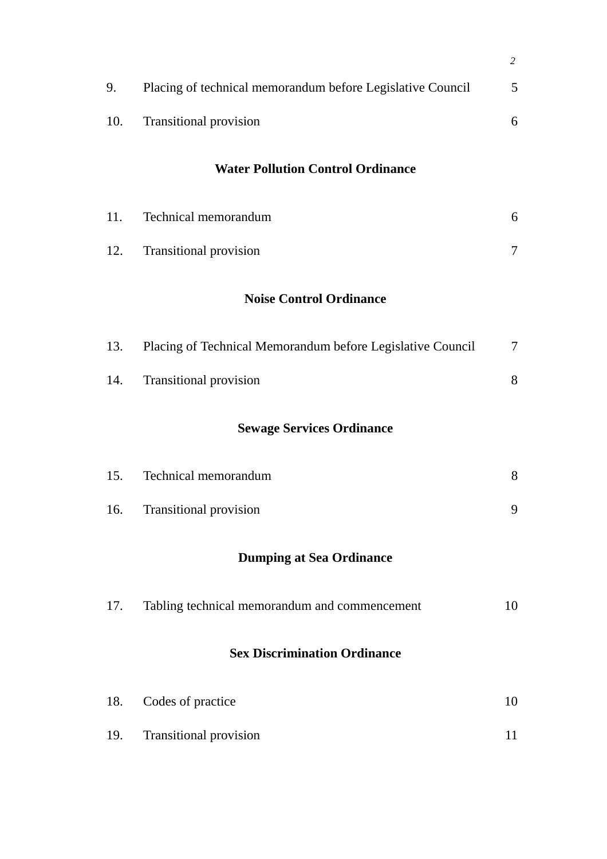|                                          |                                                            | $\overline{c}$ |  |  |  |
|------------------------------------------|------------------------------------------------------------|----------------|--|--|--|
| 9.                                       | Placing of technical memorandum before Legislative Council | 5              |  |  |  |
| 10.                                      | Transitional provision                                     | 6              |  |  |  |
| <b>Water Pollution Control Ordinance</b> |                                                            |                |  |  |  |
| 11.                                      | Technical memorandum                                       | 6              |  |  |  |
| 12.                                      | Transitional provision                                     | $\tau$         |  |  |  |
| <b>Noise Control Ordinance</b>           |                                                            |                |  |  |  |
| 13.                                      | Placing of Technical Memorandum before Legislative Council | $\overline{7}$ |  |  |  |
| 14.                                      | Transitional provision                                     | 8              |  |  |  |
| <b>Sewage Services Ordinance</b>         |                                                            |                |  |  |  |
| 15.                                      | Technical memorandum                                       | 8              |  |  |  |
| 16.                                      | <b>Transitional provision</b>                              | 9              |  |  |  |
| <b>Dumping at Sea Ordinance</b>          |                                                            |                |  |  |  |
| 17.                                      | Tabling technical memorandum and commencement              | 10             |  |  |  |
| <b>Sex Discrimination Ordinance</b>      |                                                            |                |  |  |  |
| 18.                                      | Codes of practice                                          | 10             |  |  |  |
| 19.                                      | <b>Transitional provision</b>                              | 11             |  |  |  |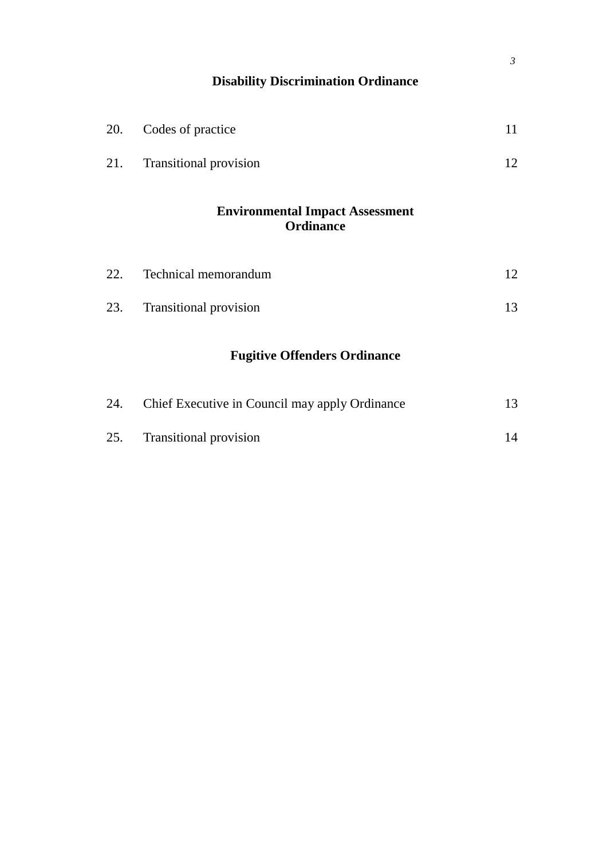| $\mathfrak{Z}$<br><b>Disability Discrimination Ordinance</b> |                                                            |                                                |    |  |  |
|--------------------------------------------------------------|------------------------------------------------------------|------------------------------------------------|----|--|--|
|                                                              | 20.                                                        | Codes of practice                              | 11 |  |  |
|                                                              | 21.                                                        | Transitional provision                         | 12 |  |  |
|                                                              | <b>Environmental Impact Assessment</b><br><b>Ordinance</b> |                                                |    |  |  |
|                                                              | 22.                                                        | Technical memorandum                           | 12 |  |  |
|                                                              | 23.                                                        | Transitional provision                         | 13 |  |  |
|                                                              | <b>Fugitive Offenders Ordinance</b>                        |                                                |    |  |  |
|                                                              | 24.                                                        | Chief Executive in Council may apply Ordinance | 13 |  |  |
|                                                              | 25.                                                        | Transitional provision                         | 14 |  |  |
|                                                              |                                                            |                                                |    |  |  |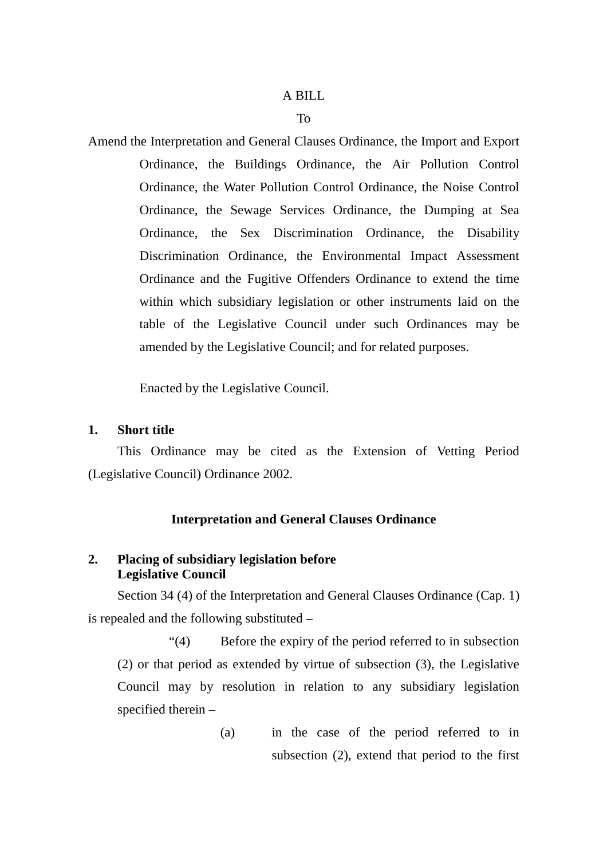#### A BILL

#### To

Amend the Interpretation and General Clauses Ordinance, the Import and Export Ordinance, the Buildings Ordinance, the Air Pollution Control Ordinance, the Water Pollution Control Ordinance, the Noise Control Ordinance, the Sewage Services Ordinance, the Dumping at Sea Ordinance, the Sex Discrimination Ordinance, the Disability Discrimination Ordinance, the Environmental Impact Assessment Ordinance and the Fugitive Offenders Ordinance to extend the time within which subsidiary legislation or other instruments laid on the table of the Legislative Council under such Ordinances may be amended by the Legislative Council; and for related purposes.

Enacted by the Legislative Council.

#### **1. Short title**

This Ordinance may be cited as the Extension of Vetting Period (Legislative Council) Ordinance 2002.

#### **Interpretation and General Clauses Ordinance**

### **2. Placing of subsidiary legislation before Legislative Council**

Section 34 (4) of the Interpretation and General Clauses Ordinance (Cap. 1) is repealed and the following substituted –

"(4) Before the expiry of the period referred to in subsection (2) or that period as extended by virtue of subsection (3), the Legislative Council may by resolution in relation to any subsidiary legislation specified therein –

> (a) in the case of the period referred to in subsection (2), extend that period to the first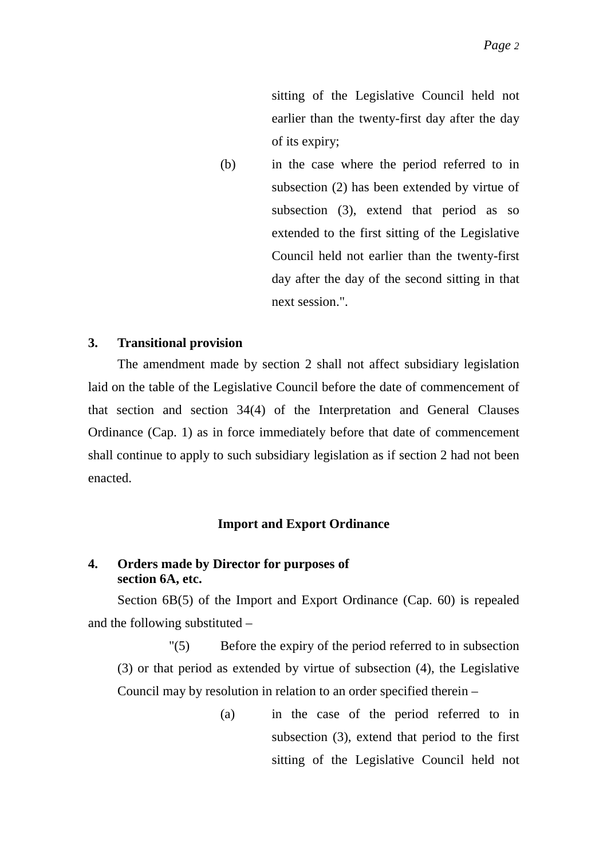sitting of the Legislative Council held not earlier than the twenty-first day after the day of its expiry;

(b) in the case where the period referred to in subsection (2) has been extended by virtue of subsection (3), extend that period as so extended to the first sitting of the Legislative Council held not earlier than the twenty-first day after the day of the second sitting in that next session.".

### **3. Transitional provision**

The amendment made by section 2 shall not affect subsidiary legislation laid on the table of the Legislative Council before the date of commencement of that section and section 34(4) of the Interpretation and General Clauses Ordinance (Cap. 1) as in force immediately before that date of commencement shall continue to apply to such subsidiary legislation as if section 2 had not been enacted.

#### **Import and Export Ordinance**

### **4. Orders made by Director for purposes of section 6A, etc.**

Section 6B(5) of the Import and Export Ordinance (Cap. 60) is repealed and the following substituted –

"(5) Before the expiry of the period referred to in subsection (3) or that period as extended by virtue of subsection (4), the Legislative Council may by resolution in relation to an order specified therein –

> (a) in the case of the period referred to in subsection (3), extend that period to the first sitting of the Legislative Council held not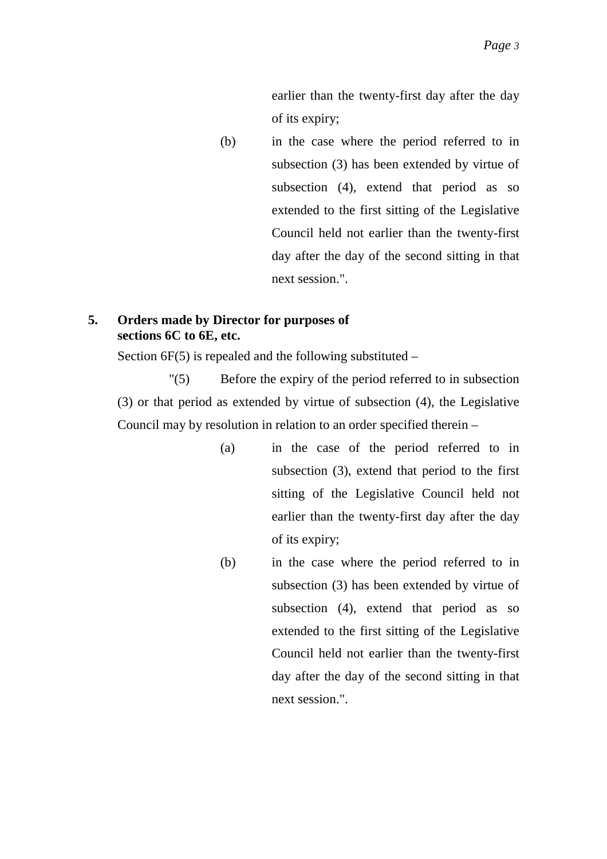earlier than the twenty-first day after the day of its expiry;

(b) in the case where the period referred to in subsection (3) has been extended by virtue of subsection (4), extend that period as so extended to the first sitting of the Legislative Council held not earlier than the twenty-first day after the day of the second sitting in that next session.".

### **5. Orders made by Director for purposes of sections 6C to 6E, etc.**

Section  $6F(5)$  is repealed and the following substituted –

"(5) Before the expiry of the period referred to in subsection (3) or that period as extended by virtue of subsection (4), the Legislative Council may by resolution in relation to an order specified therein –

- (a) in the case of the period referred to in subsection (3), extend that period to the first sitting of the Legislative Council held not earlier than the twenty-first day after the day of its expiry;
- (b) in the case where the period referred to in subsection (3) has been extended by virtue of subsection (4), extend that period as so extended to the first sitting of the Legislative Council held not earlier than the twenty-first day after the day of the second sitting in that next session.".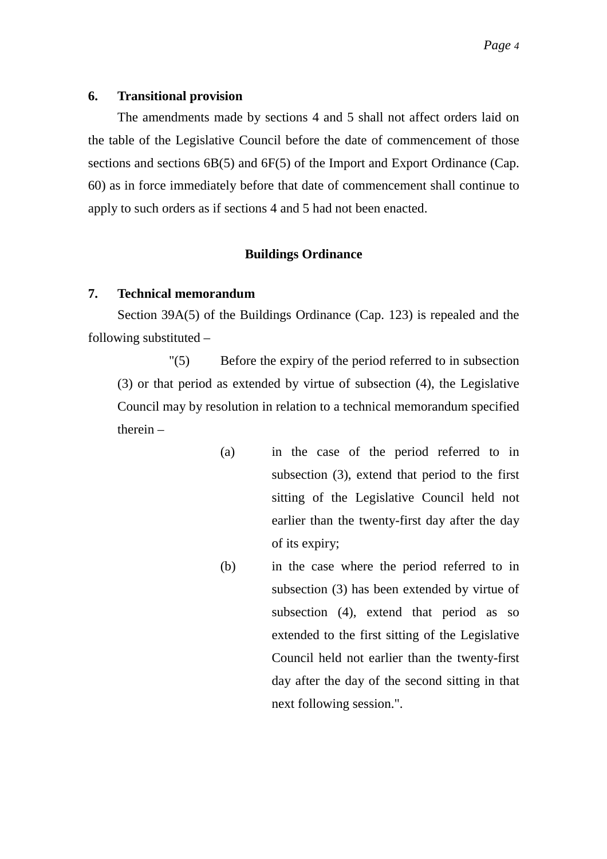The amendments made by sections 4 and 5 shall not affect orders laid on the table of the Legislative Council before the date of commencement of those sections and sections 6B(5) and 6F(5) of the Import and Export Ordinance (Cap. 60) as in force immediately before that date of commencement shall continue to apply to such orders as if sections 4 and 5 had not been enacted.

### **Buildings Ordinance**

### **7. Technical memorandum**

Section 39A(5) of the Buildings Ordinance (Cap. 123) is repealed and the following substituted –

"(5) Before the expiry of the period referred to in subsection (3) or that period as extended by virtue of subsection (4), the Legislative Council may by resolution in relation to a technical memorandum specified therein –

- (a) in the case of the period referred to in subsection (3), extend that period to the first sitting of the Legislative Council held not earlier than the twenty-first day after the day of its expiry;
- (b) in the case where the period referred to in subsection (3) has been extended by virtue of subsection (4), extend that period as so extended to the first sitting of the Legislative Council held not earlier than the twenty-first day after the day of the second sitting in that next following session.".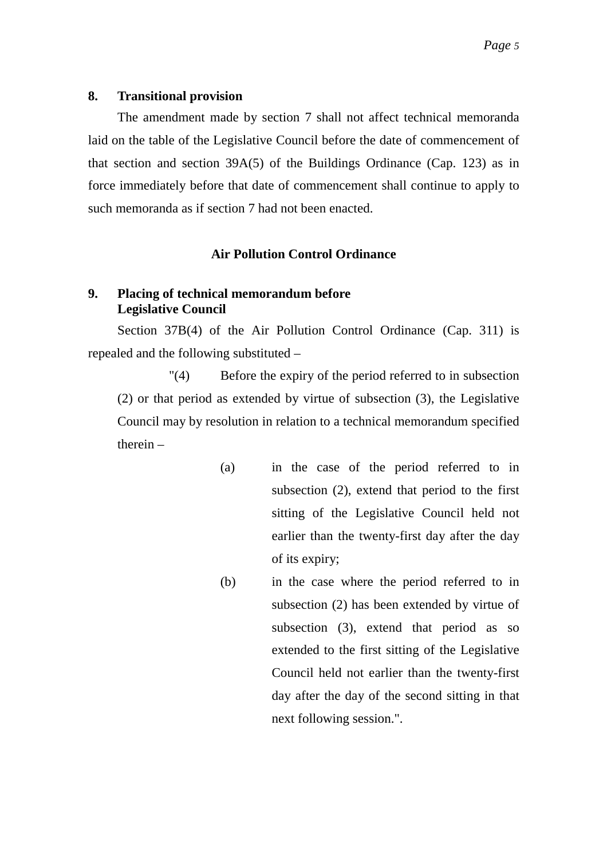The amendment made by section 7 shall not affect technical memoranda laid on the table of the Legislative Council before the date of commencement of that section and section 39A(5) of the Buildings Ordinance (Cap. 123) as in force immediately before that date of commencement shall continue to apply to such memoranda as if section 7 had not been enacted.

### **Air Pollution Control Ordinance**

## **9. Placing of technical memorandum before Legislative Council**

Section 37B(4) of the Air Pollution Control Ordinance (Cap. 311) is repealed and the following substituted –

"(4) Before the expiry of the period referred to in subsection (2) or that period as extended by virtue of subsection (3), the Legislative Council may by resolution in relation to a technical memorandum specified therein –

- (a) in the case of the period referred to in subsection (2), extend that period to the first sitting of the Legislative Council held not earlier than the twenty-first day after the day of its expiry;
- (b) in the case where the period referred to in subsection (2) has been extended by virtue of subsection (3), extend that period as so extended to the first sitting of the Legislative Council held not earlier than the twenty-first day after the day of the second sitting in that next following session.".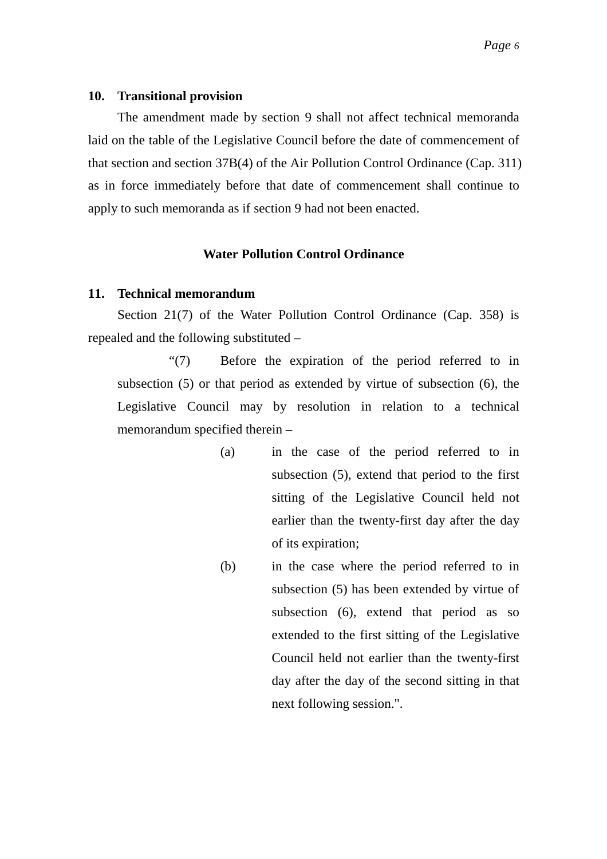The amendment made by section 9 shall not affect technical memoranda laid on the table of the Legislative Council before the date of commencement of that section and section 37B(4) of the Air Pollution Control Ordinance (Cap. 311) as in force immediately before that date of commencement shall continue to apply to such memoranda as if section 9 had not been enacted.

### **Water Pollution Control Ordinance**

### **11. Technical memorandum**

Section 21(7) of the Water Pollution Control Ordinance (Cap. 358) is repealed and the following substituted –

"(7) Before the expiration of the period referred to in subsection (5) or that period as extended by virtue of subsection (6), the Legislative Council may by resolution in relation to a technical memorandum specified therein –

- (a) in the case of the period referred to in subsection (5), extend that period to the first sitting of the Legislative Council held not earlier than the twenty-first day after the day of its expiration;
- (b) in the case where the period referred to in subsection (5) has been extended by virtue of subsection (6), extend that period as so extended to the first sitting of the Legislative Council held not earlier than the twenty-first day after the day of the second sitting in that next following session.".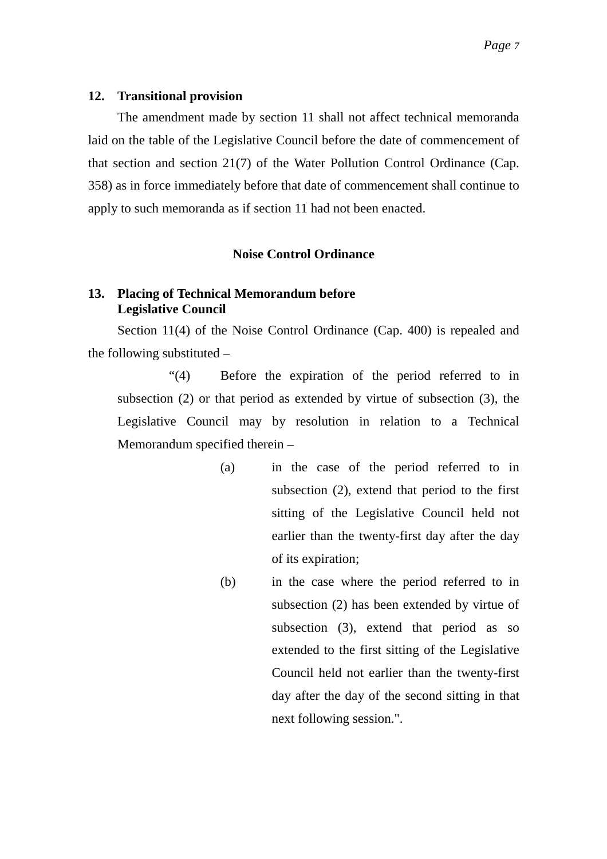The amendment made by section 11 shall not affect technical memoranda laid on the table of the Legislative Council before the date of commencement of that section and section 21(7) of the Water Pollution Control Ordinance (Cap. 358) as in force immediately before that date of commencement shall continue to apply to such memoranda as if section 11 had not been enacted.

#### **Noise Control Ordinance**

### **13. Placing of Technical Memorandum before Legislative Council**

Section 11(4) of the Noise Control Ordinance (Cap. 400) is repealed and the following substituted –

"(4) Before the expiration of the period referred to in subsection (2) or that period as extended by virtue of subsection (3), the Legislative Council may by resolution in relation to a Technical Memorandum specified therein –

- (a) in the case of the period referred to in subsection (2), extend that period to the first sitting of the Legislative Council held not earlier than the twenty-first day after the day of its expiration;
- (b) in the case where the period referred to in subsection (2) has been extended by virtue of subsection (3), extend that period as so extended to the first sitting of the Legislative Council held not earlier than the twenty-first day after the day of the second sitting in that next following session.".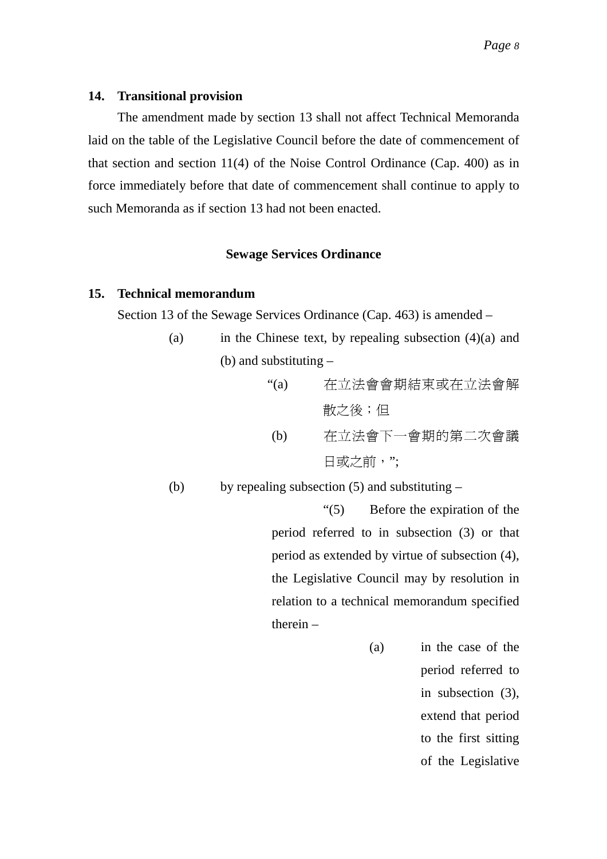The amendment made by section 13 shall not affect Technical Memoranda laid on the table of the Legislative Council before the date of commencement of that section and section 11(4) of the Noise Control Ordinance (Cap. 400) as in force immediately before that date of commencement shall continue to apply to such Memoranda as if section 13 had not been enacted.

### **Sewage Services Ordinance**

### **15. Technical memorandum**

Section 13 of the Sewage Services Ordinance (Cap. 463) is amended –

(a) in the Chinese text, by repealing subsection  $(4)(a)$  and (b) and substituting –

(a)      
$$
\overline{A}\overline{C}
$$

\n在立法會會期結東或在立法會解\n(b)       $\overline{A}\overline{C}$ 

\n在立法會下一會期的第二次會議\n日或之前,

(b) by repealing subsection  $(5)$  and substituting –

"(5) Before the expiration of the period referred to in subsection (3) or that period as extended by virtue of subsection (4), the Legislative Council may by resolution in relation to a technical memorandum specified therein –

> (a) in the case of the period referred to in subsection (3), extend that period to the first sitting of the Legislative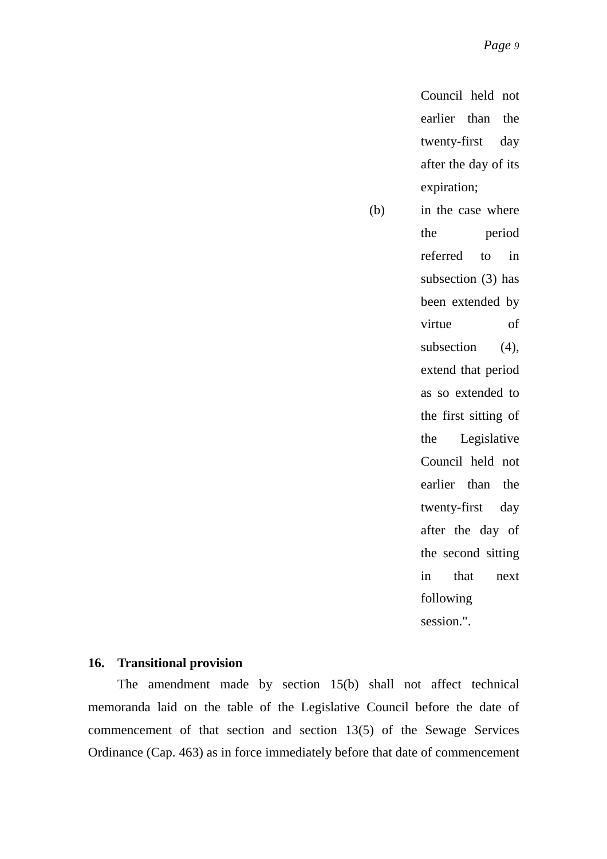Council held not earlier than the twenty-first day after the day of its expiration;

(b) in the case where the period referred to in subsection (3) has been extended by virtue of subsection (4), extend that period as so extended to the first sitting of the Legislative Council held not earlier than the twenty-first day after the day of the second sitting in that next following session.".

#### **16. Transitional provision**

The amendment made by section 15(b) shall not affect technical memoranda laid on the table of the Legislative Council before the date of commencement of that section and section 13(5) of the Sewage Services Ordinance (Cap. 463) as in force immediately before that date of commencement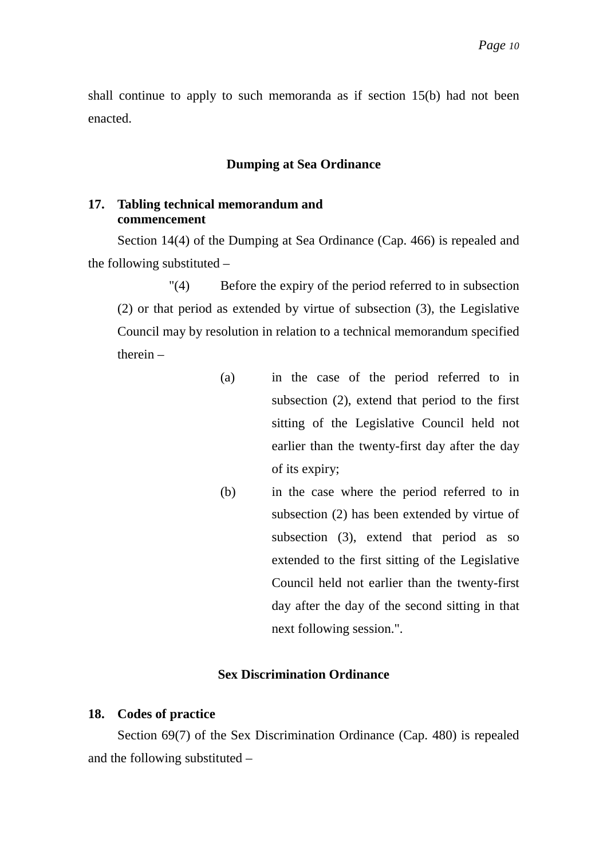shall continue to apply to such memoranda as if section 15(b) had not been enacted.

#### **Dumping at Sea Ordinance**

#### **17. Tabling technical memorandum and commencement**

Section 14(4) of the Dumping at Sea Ordinance (Cap. 466) is repealed and the following substituted –

"(4) Before the expiry of the period referred to in subsection (2) or that period as extended by virtue of subsection (3), the Legislative Council may by resolution in relation to a technical memorandum specified therein –

- (a) in the case of the period referred to in subsection (2), extend that period to the first sitting of the Legislative Council held not earlier than the twenty-first day after the day of its expiry;
- (b) in the case where the period referred to in subsection (2) has been extended by virtue of subsection (3), extend that period as so extended to the first sitting of the Legislative Council held not earlier than the twenty-first day after the day of the second sitting in that next following session.".

#### **Sex Discrimination Ordinance**

#### **18. Codes of practice**

Section 69(7) of the Sex Discrimination Ordinance (Cap. 480) is repealed and the following substituted –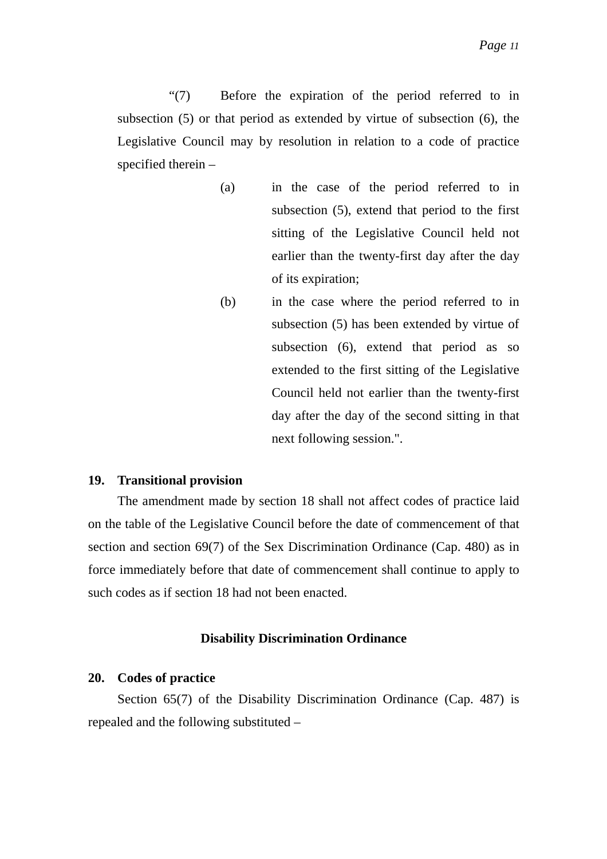"(7) Before the expiration of the period referred to in subsection (5) or that period as extended by virtue of subsection (6), the Legislative Council may by resolution in relation to a code of practice specified therein –

- (a) in the case of the period referred to in subsection (5), extend that period to the first sitting of the Legislative Council held not earlier than the twenty-first day after the day of its expiration;
- (b) in the case where the period referred to in subsection (5) has been extended by virtue of subsection (6), extend that period as so extended to the first sitting of the Legislative Council held not earlier than the twenty-first day after the day of the second sitting in that next following session.".

#### **19. Transitional provision**

The amendment made by section 18 shall not affect codes of practice laid on the table of the Legislative Council before the date of commencement of that section and section 69(7) of the Sex Discrimination Ordinance (Cap. 480) as in force immediately before that date of commencement shall continue to apply to such codes as if section 18 had not been enacted.

#### **Disability Discrimination Ordinance**

#### **20. Codes of practice**

Section 65(7) of the Disability Discrimination Ordinance (Cap. 487) is repealed and the following substituted –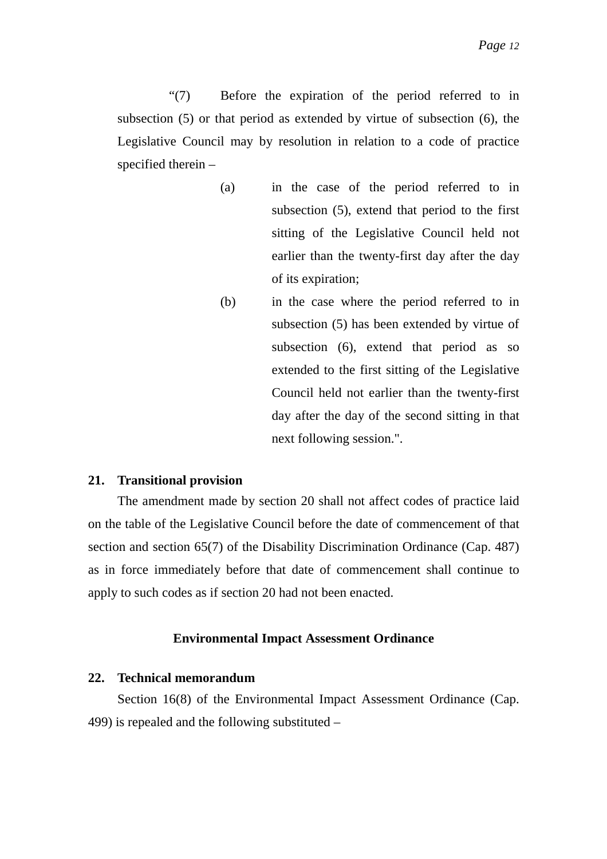"(7) Before the expiration of the period referred to in subsection (5) or that period as extended by virtue of subsection (6), the Legislative Council may by resolution in relation to a code of practice specified therein –

- (a) in the case of the period referred to in subsection (5), extend that period to the first sitting of the Legislative Council held not earlier than the twenty-first day after the day of its expiration;
- (b) in the case where the period referred to in subsection (5) has been extended by virtue of subsection (6), extend that period as so extended to the first sitting of the Legislative Council held not earlier than the twenty-first day after the day of the second sitting in that next following session.".

#### **21. Transitional provision**

The amendment made by section 20 shall not affect codes of practice laid on the table of the Legislative Council before the date of commencement of that section and section 65(7) of the Disability Discrimination Ordinance (Cap. 487) as in force immediately before that date of commencement shall continue to apply to such codes as if section 20 had not been enacted.

#### **Environmental Impact Assessment Ordinance**

#### **22. Technical memorandum**

Section 16(8) of the Environmental Impact Assessment Ordinance (Cap. 499) is repealed and the following substituted –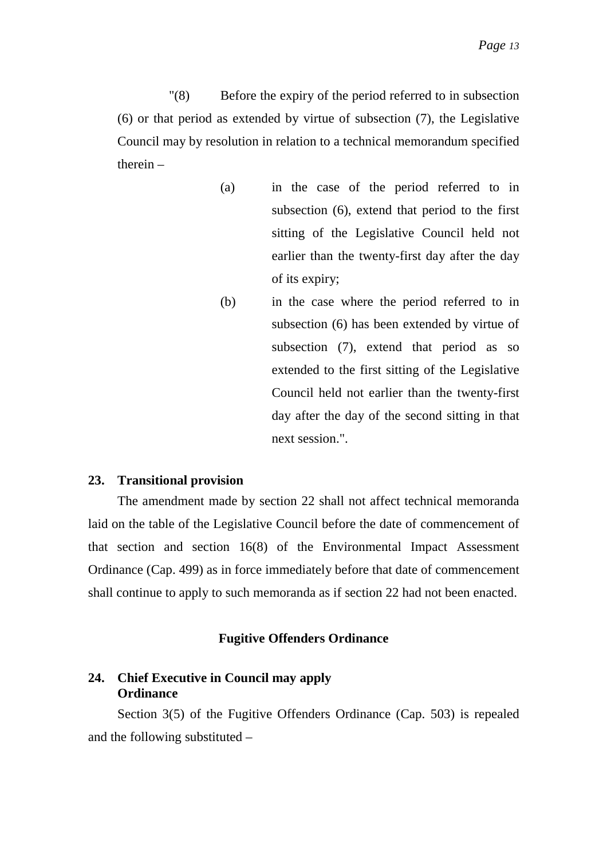"(8) Before the expiry of the period referred to in subsection (6) or that period as extended by virtue of subsection (7), the Legislative Council may by resolution in relation to a technical memorandum specified therein –

- (a) in the case of the period referred to in subsection (6), extend that period to the first sitting of the Legislative Council held not earlier than the twenty-first day after the day of its expiry;
- (b) in the case where the period referred to in subsection (6) has been extended by virtue of subsection (7), extend that period as so extended to the first sitting of the Legislative Council held not earlier than the twenty-first day after the day of the second sitting in that next session.".

#### **23. Transitional provision**

The amendment made by section 22 shall not affect technical memoranda laid on the table of the Legislative Council before the date of commencement of that section and section 16(8) of the Environmental Impact Assessment Ordinance (Cap. 499) as in force immediately before that date of commencement shall continue to apply to such memoranda as if section 22 had not been enacted.

#### **Fugitive Offenders Ordinance**

# **24. Chief Executive in Council may apply Ordinance**

Section 3(5) of the Fugitive Offenders Ordinance (Cap. 503) is repealed and the following substituted –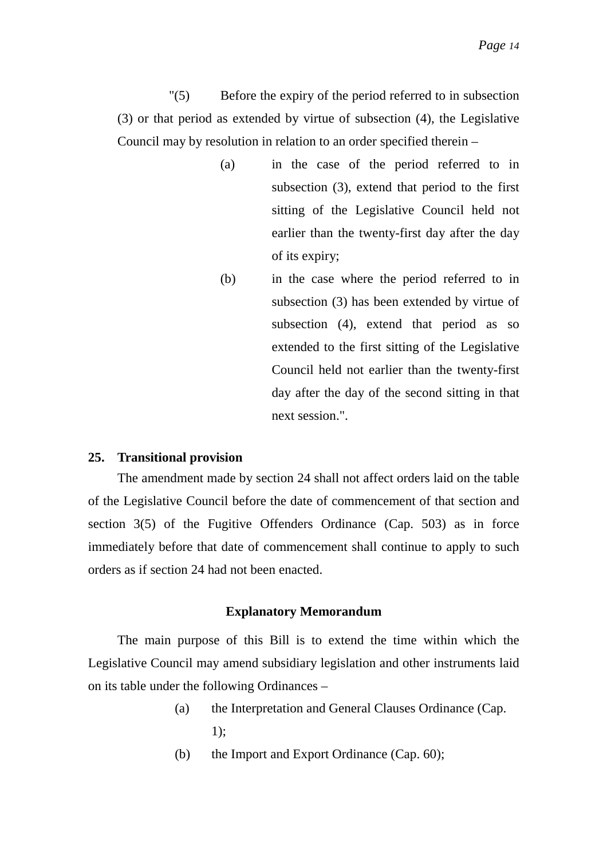"(5) Before the expiry of the period referred to in subsection (3) or that period as extended by virtue of subsection (4), the Legislative Council may by resolution in relation to an order specified therein –

- (a) in the case of the period referred to in subsection (3), extend that period to the first sitting of the Legislative Council held not earlier than the twenty-first day after the day of its expiry;
- (b) in the case where the period referred to in subsection (3) has been extended by virtue of subsection (4), extend that period as so extended to the first sitting of the Legislative Council held not earlier than the twenty-first day after the day of the second sitting in that next session."

#### **25. Transitional provision**

The amendment made by section 24 shall not affect orders laid on the table of the Legislative Council before the date of commencement of that section and section 3(5) of the Fugitive Offenders Ordinance (Cap. 503) as in force immediately before that date of commencement shall continue to apply to such orders as if section 24 had not been enacted.

#### **Explanatory Memorandum**

The main purpose of this Bill is to extend the time within which the Legislative Council may amend subsidiary legislation and other instruments laid on its table under the following Ordinances –

- (a) the Interpretation and General Clauses Ordinance (Cap. 1);
- (b) the Import and Export Ordinance (Cap. 60);